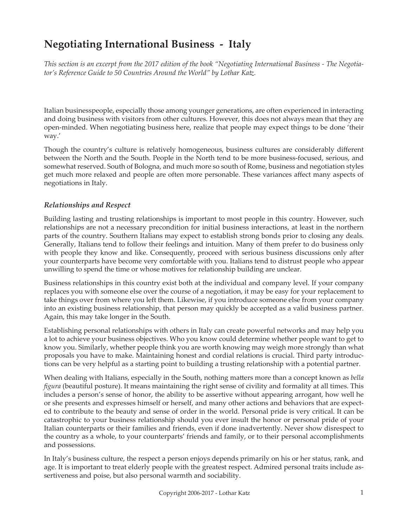# **Negotiating International Business - Italy**

*This section is an excerpt from the 2017 edition of the book "Negotiating International Business - The Negotiator's Reference Guide to 50 Countries Around the World" by Lothar Katz.*

Italian businesspeople, especially those among younger generations, are often experienced in interacting and doing business with visitors from other cultures. However, this does not always mean that they are open-minded. When negotiating business here, realize that people may expect things to be done 'their way.'

Though the country's culture is relatively homogeneous, business cultures are considerably different between the North and the South. People in the North tend to be more business-focused, serious, and somewhat reserved. South of Bologna, and much more so south of Rome, business and negotiation styles get much more relaxed and people are often more personable. These variances affect many aspects of negotiations in Italy.

## *Relationships and Respect*

Building lasting and trusting relationships is important to most people in this country. However, such relationships are not a necessary precondition for initial business interactions, at least in the northern parts of the country. Southern Italians may expect to establish strong bonds prior to closing any deals. Generally, Italians tend to follow their feelings and intuition. Many of them prefer to do business only with people they know and like. Consequently, proceed with serious business discussions only after your counterparts have become very comfortable with you. Italians tend to distrust people who appear unwilling to spend the time or whose motives for relationship building are unclear.

Business relationships in this country exist both at the individual and company level. If your company replaces you with someone else over the course of a negotiation, it may be easy for your replacement to take things over from where you left them. Likewise, if you introduce someone else from your company into an existing business relationship, that person may quickly be accepted as a valid business partner. Again, this may take longer in the South.

Establishing personal relationships with others in Italy can create powerful networks and may help you a lot to achieve your business objectives. Who you know could determine whether people want to get to know you. Similarly, whether people think you are worth knowing may weigh more strongly than what proposals you have to make. Maintaining honest and cordial relations is crucial. Third party introductions can be very helpful as a starting point to building a trusting relationship with a potential partner.

When dealing with Italians, especially in the South, nothing matters more than a concept known as *bella figura* (beautiful posture). It means maintaining the right sense of civility and formality at all times. This includes a person's sense of honor, the ability to be assertive without appearing arrogant, how well he or she presents and expresses himself or herself, and many other actions and behaviors that are expected to contribute to the beauty and sense of order in the world. Personal pride is very critical. It can be catastrophic to your business relationship should you ever insult the honor or personal pride of your Italian counterparts or their families and friends, even if done inadvertently. Never show disrespect to the country as a whole, to your counterparts' friends and family, or to their personal accomplishments and possessions.

In Italy's business culture, the respect a person enjoys depends primarily on his or her status, rank, and age. It is important to treat elderly people with the greatest respect. Admired personal traits include assertiveness and poise, but also personal warmth and sociability.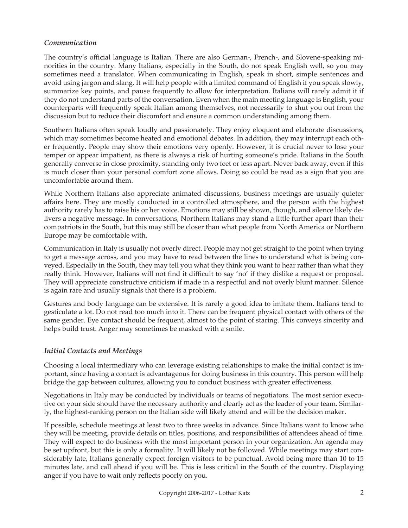#### *Communication*

The country's official language is Italian. There are also German-, French-, and Slovene-speaking minorities in the country. Many Italians, especially in the South, do not speak English well, so you may sometimes need a translator. When communicating in English, speak in short, simple sentences and avoid using jargon and slang. It will help people with a limited command of English if you speak slowly, summarize key points, and pause frequently to allow for interpretation. Italians will rarely admit it if they do not understand parts of the conversation. Even when the main meeting language is English, your counterparts will frequently speak Italian among themselves, not necessarily to shut you out from the discussion but to reduce their discomfort and ensure a common understanding among them.

Southern Italians often speak loudly and passionately. They enjoy eloquent and elaborate discussions, which may sometimes become heated and emotional debates. In addition, they may interrupt each other frequently. People may show their emotions very openly. However, it is crucial never to lose your temper or appear impatient, as there is always a risk of hurting someone's pride. Italians in the South generally converse in close proximity, standing only two feet or less apart. Never back away, even if this is much closer than your personal comfort zone allows. Doing so could be read as a sign that you are uncomfortable around them.

While Northern Italians also appreciate animated discussions, business meetings are usually quieter affairs here. They are mostly conducted in a controlled atmosphere, and the person with the highest authority rarely has to raise his or her voice. Emotions may still be shown, though, and silence likely delivers a negative message. In conversations, Northern Italians may stand a little further apart than their compatriots in the South, but this may still be closer than what people from North America or Northern Europe may be comfortable with.

Communication in Italy is usually not overly direct. People may not get straight to the point when trying to get a message across, and you may have to read between the lines to understand what is being conveyed. Especially in the South, they may tell you what they think you want to hear rather than what they really think. However, Italians will not find it difficult to say 'no' if they dislike a request or proposal. They will appreciate constructive criticism if made in a respectful and not overly blunt manner. Silence is again rare and usually signals that there is a problem.

Gestures and body language can be extensive. It is rarely a good idea to imitate them. Italians tend to gesticulate a lot. Do not read too much into it. There can be frequent physical contact with others of the same gender. Eye contact should be frequent, almost to the point of staring. This conveys sincerity and helps build trust. Anger may sometimes be masked with a smile.

## *Initial Contacts and Meetings*

Choosing a local intermediary who can leverage existing relationships to make the initial contact is important, since having a contact is advantageous for doing business in this country. This person will help bridge the gap between cultures, allowing you to conduct business with greater effectiveness.

Negotiations in Italy may be conducted by individuals or teams of negotiators. The most senior executive on your side should have the necessary authority and clearly act as the leader of your team. Similarly, the highest-ranking person on the Italian side will likely attend and will be the decision maker.

If possible, schedule meetings at least two to three weeks in advance. Since Italians want to know who they will be meeting, provide details on titles, positions, and responsibilities of attendees ahead of time. They will expect to do business with the most important person in your organization. An agenda may be set upfront, but this is only a formality. It will likely not be followed. While meetings may start considerably late, Italians generally expect foreign visitors to be punctual. Avoid being more than 10 to 15 minutes late, and call ahead if you will be. This is less critical in the South of the country. Displaying anger if you have to wait only reflects poorly on you.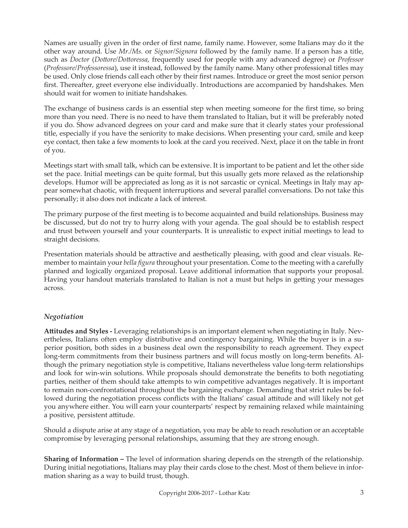Names are usually given in the order of first name, family name. However, some Italians may do it the other way around. Use *Mr./Ms.* or *Signor/Signora* followed by the family name. If a person has a title, such as *Doctor* (*Dottore/Dottoressa*, frequently used for people with any advanced degree) or *Professor* (*Professore/Professoressa*), use it instead, followed by the family name. Many other professional titles may be used. Only close friends call each other by their first names. Introduce or greet the most senior person first. Thereafter, greet everyone else individually. Introductions are accompanied by handshakes. Men should wait for women to initiate handshakes.

The exchange of business cards is an essential step when meeting someone for the first time, so bring more than you need. There is no need to have them translated to Italian, but it will be preferably noted if you do. Show advanced degrees on your card and make sure that it clearly states your professional title, especially if you have the seniority to make decisions. When presenting your card, smile and keep eye contact, then take a few moments to look at the card you received. Next, place it on the table in front of you.

Meetings start with small talk, which can be extensive. It is important to be patient and let the other side set the pace. Initial meetings can be quite formal, but this usually gets more relaxed as the relationship develops. Humor will be appreciated as long as it is not sarcastic or cynical. Meetings in Italy may appear somewhat chaotic, with frequent interruptions and several parallel conversations. Do not take this personally; it also does not indicate a lack of interest.

The primary purpose of the first meeting is to become acquainted and build relationships. Business may be discussed, but do not try to hurry along with your agenda. The goal should be to establish respect and trust between yourself and your counterparts. It is unrealistic to expect initial meetings to lead to straight decisions.

Presentation materials should be attractive and aesthetically pleasing, with good and clear visuals. Remember to maintain your *bella figura* throughout your presentation. Come to the meeting with a carefully planned and logically organized proposal. Leave additional information that supports your proposal. Having your handout materials translated to Italian is not a must but helps in getting your messages across.

## *Negotiation*

**Attitudes and Styles -** Leveraging relationships is an important element when negotiating in Italy. Nevertheless, Italians often employ distributive and contingency bargaining. While the buyer is in a superior position, both sides in a business deal own the responsibility to reach agreement. They expect long-term commitments from their business partners and will focus mostly on long-term benefits. Although the primary negotiation style is competitive, Italians nevertheless value long-term relationships and look for win-win solutions. While proposals should demonstrate the benefits to both negotiating parties, neither of them should take attempts to win competitive advantages negatively. It is important to remain non-confrontational throughout the bargaining exchange. Demanding that strict rules be followed during the negotiation process conflicts with the Italians' casual attitude and will likely not get you anywhere either. You will earn your counterparts' respect by remaining relaxed while maintaining a positive, persistent attitude.

Should a dispute arise at any stage of a negotiation, you may be able to reach resolution or an acceptable compromise by leveraging personal relationships, assuming that they are strong enough.

**Sharing of Information –** The level of information sharing depends on the strength of the relationship. During initial negotiations, Italians may play their cards close to the chest. Most of them believe in information sharing as a way to build trust, though.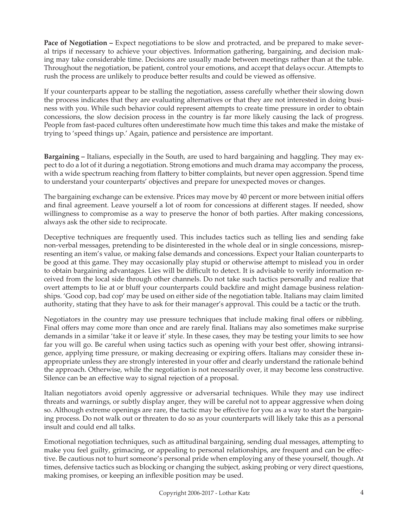**Pace of Negotiation –** Expect negotiations to be slow and protracted, and be prepared to make several trips if necessary to achieve your objectives. Information gathering, bargaining, and decision making may take considerable time. Decisions are usually made between meetings rather than at the table. Throughout the negotiation, be patient, control your emotions, and accept that delays occur. Attempts to rush the process are unlikely to produce better results and could be viewed as offensive.

If your counterparts appear to be stalling the negotiation, assess carefully whether their slowing down the process indicates that they are evaluating alternatives or that they are not interested in doing business with you. While such behavior could represent attempts to create time pressure in order to obtain concessions, the slow decision process in the country is far more likely causing the lack of progress. People from fast-paced cultures often underestimate how much time this takes and make the mistake of trying to 'speed things up.' Again, patience and persistence are important.

**Bargaining –** Italians, especially in the South, are used to hard bargaining and haggling. They may expect to do a lot of it during a negotiation. Strong emotions and much drama may accompany the process, with a wide spectrum reaching from flattery to bitter complaints, but never open aggression. Spend time to understand your counterparts' objectives and prepare for unexpected moves or changes.

The bargaining exchange can be extensive. Prices may move by 40 percent or more between initial offers and final agreement. Leave yourself a lot of room for concessions at different stages. If needed, show willingness to compromise as a way to preserve the honor of both parties. After making concessions, always ask the other side to reciprocate.

Deceptive techniques are frequently used. This includes tactics such as telling lies and sending fake non-verbal messages, pretending to be disinterested in the whole deal or in single concessions, misrepresenting an item's value, or making false demands and concessions. Expect your Italian counterparts to be good at this game. They may occasionally play stupid or otherwise attempt to mislead you in order to obtain bargaining advantages. Lies will be difficult to detect. It is advisable to verify information received from the local side through other channels. Do not take such tactics personally and realize that overt attempts to lie at or bluff your counterparts could backfire and might damage business relationships. 'Good cop, bad cop' may be used on either side of the negotiation table. Italians may claim limited authority, stating that they have to ask for their manager's approval. This could be a tactic or the truth.

Negotiators in the country may use pressure techniques that include making final offers or nibbling. Final offers may come more than once and are rarely final. Italians may also sometimes make surprise demands in a similar 'take it or leave it' style. In these cases, they may be testing your limits to see how far you will go. Be careful when using tactics such as opening with your best offer, showing intransigence, applying time pressure, or making decreasing or expiring offers. Italians may consider these inappropriate unless they are strongly interested in your offer and clearly understand the rationale behind the approach. Otherwise, while the negotiation is not necessarily over, it may become less constructive. Silence can be an effective way to signal rejection of a proposal.

Italian negotiators avoid openly aggressive or adversarial techniques. While they may use indirect threats and warnings, or subtly display anger, they will be careful not to appear aggressive when doing so. Although extreme openings are rare, the tactic may be effective for you as a way to start the bargaining process. Do not walk out or threaten to do so as your counterparts will likely take this as a personal insult and could end all talks.

Emotional negotiation techniques, such as attitudinal bargaining, sending dual messages, attempting to make you feel guilty, grimacing, or appealing to personal relationships, are frequent and can be effective. Be cautious not to hurt someone's personal pride when employing any of these yourself, though. At times, defensive tactics such as blocking or changing the subject, asking probing or very direct questions, making promises, or keeping an inflexible position may be used.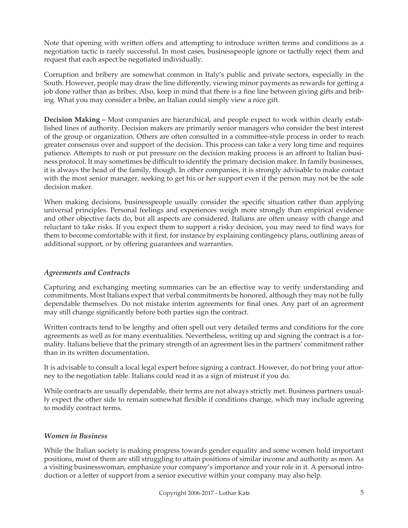Note that opening with written offers and attempting to introduce written terms and conditions as a negotiation tactic is rarely successful. In most cases, businesspeople ignore or tactfully reject them and request that each aspect be negotiated individually.

Corruption and bribery are somewhat common in Italy's public and private sectors, especially in the South. However, people may draw the line differently, viewing minor payments as rewards for getting a job done rather than as bribes. Also, keep in mind that there is a fine line between giving gifts and bribing. What you may consider a bribe, an Italian could simply view a nice gift.

**Decision Making –** Most companies are hierarchical, and people expect to work within clearly established lines of authority. Decision makers are primarily senior managers who consider the best interest of the group or organization. Others are often consulted in a committee-style process in order to reach greater consensus over and support of the decision. This process can take a very long time and requires patience. Attempts to rush or put pressure on the decision making process is an affront to Italian business protocol. It may sometimes be difficult to identify the primary decision maker. In family businesses, it is always the head of the family, though. In other companies, it is strongly advisable to make contact with the most senior manager, seeking to get his or her support even if the person may not be the sole decision maker.

When making decisions, businesspeople usually consider the specific situation rather than applying universal principles. Personal feelings and experiences weigh more strongly than empirical evidence and other objective facts do, but all aspects are considered. Italians are often uneasy with change and reluctant to take risks. If you expect them to support a risky decision, you may need to find ways for them to become comfortable with it first, for instance by explaining contingency plans, outlining areas of additional support, or by offering guarantees and warranties.

## *Agreements and Contracts*

Capturing and exchanging meeting summaries can be an effective way to verify understanding and commitments. Most Italians expect that verbal commitments be honored, although they may not be fully dependable themselves. Do not mistake interim agreements for final ones. Any part of an agreement may still change significantly before both parties sign the contract.

Written contracts tend to be lengthy and often spell out very detailed terms and conditions for the core agreements as well as for many eventualities. Nevertheless, writing up and signing the contract is a formality. Italians believe that the primary strength of an agreement lies in the partners' commitment rather than in its written documentation.

It is advisable to consult a local legal expert before signing a contract. However, do not bring your attorney to the negotiation table. Italians could read it as a sign of mistrust if you do.

While contracts are usually dependable, their terms are not always strictly met. Business partners usually expect the other side to remain somewhat flexible if conditions change, which may include agreeing to modify contract terms.

## *Women in Business*

While the Italian society is making progress towards gender equality and some women hold important positions, most of them are still struggling to attain positions of similar income and authority as men. As a visiting businesswoman, emphasize your company's importance and your role in it. A personal introduction or a letter of support from a senior executive within your company may also help.